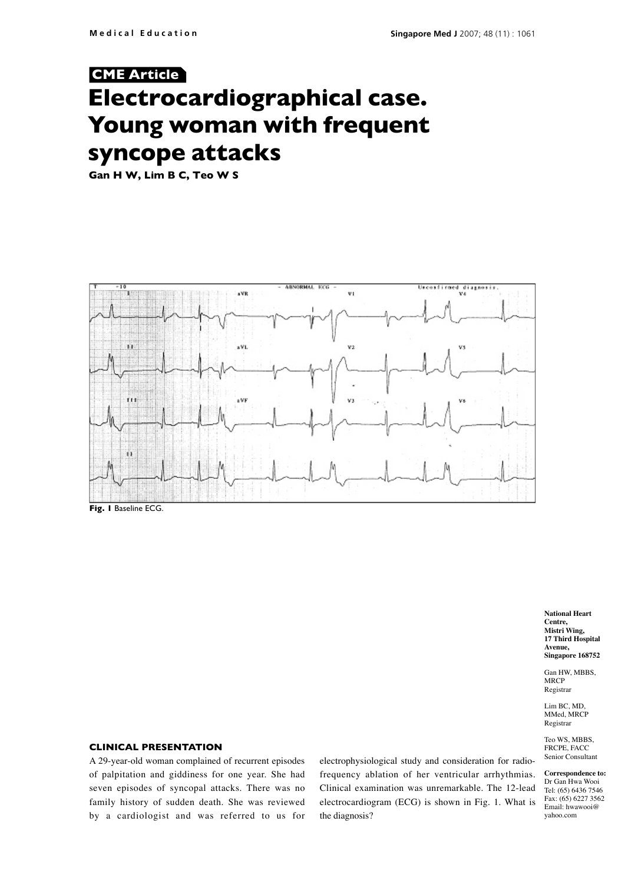# **Electrocardiographical case. Young woman with frequent syncope attacks CME Article**

**Gan H W, Lim B C, Teo W S**



**National Heart Centre, Mistri Wing, 17 Third Hospital Avenue, Singapore 168752**

Gan HW, MBBS, MRCP Registrar

Lim BC, MD, MMed, MRCP Registrar

Teo WS, MBBS, FRCPE, FACC Senior Consultant

**Correspondence to:** Dr Gan Hwa Wooi Tel: (65) 6436 7546 Fax: (65) 6227 3562 Email: hwawooi@ yahoo.com

## **Clinical presentation**

A 29-year-old woman complained of recurrent episodes of palpitation and giddiness for one year. She had seven episodes of syncopal attacks. There was no family history of sudden death. She was reviewed by a cardiologist and was referred to us for

electrophysiological study and consideration for radiofrequency ablation of her ventricular arrhythmias. Clinical examination was unremarkable. The 12-lead electrocardiogram (ECG) is shown in Fig. 1. What is the diagnosis?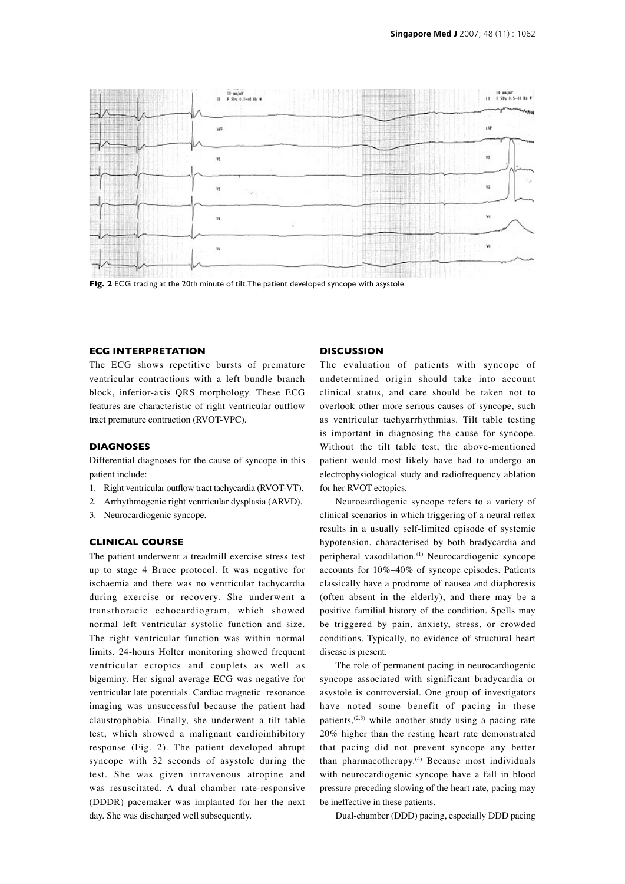

**Fig. 2** ECG tracing at the 20th minute of tilt. The patient developed syncope with asystole.

## **ECG interpretation**

The ECG shows repetitive bursts of premature ventricular contractions with a left bundle branch block, inferior-axis QRS morphology. These ECG features are characteristic of right ventricular outflow tract premature contraction (RVOT-VPC).

#### **DIAGNOSES**

Differential diagnoses for the cause of syncope in this patient include:

- 1. Right ventricular outflow tract tachycardia (RVOT-VT).
- 2. Arrhythmogenic right ventricular dysplasia (ARVD).
- 3. Neurocardiogenic syncope.

### **Clinical course**

The patient underwent a treadmill exercise stress test up to stage 4 Bruce protocol. It was negative for ischaemia and there was no ventricular tachycardia during exercise or recovery. She underwent a transthoracic echocardiogram, which showed normal left ventricular systolic function and size. The right ventricular function was within normal limits. 24-hours Holter monitoring showed frequent ventricular ectopics and couplets as well as bigeminy. Her signal average ECG was negative for ventricular late potentials. Cardiac magnetic resonance imaging was unsuccessful because the patient had claustrophobia. Finally, she underwent a tilt table test, which showed a malignant cardioinhibitory response (Fig. 2). The patient developed abrupt syncope with 32 seconds of asystole during the test. She was given intravenous atropine and was resuscitated. A dual chamber rate-responsive (DDDR) pacemaker was implanted for her the next day. She was discharged well subsequently.

## **Discussion**

The evaluation of patients with syncope of undetermined origin should take into account clinical status, and care should be taken not to overlook other more serious causes of syncope, such as ventricular tachyarrhythmias. Tilt table testing is important in diagnosing the cause for syncope. Without the tilt table test, the above-mentioned patient would most likely have had to undergo an electrophysiological study and radiofrequency ablation for her RVOT ectopics.

Neurocardiogenic syncope refers to a variety of clinical scenarios in which triggering of a neural reflex results in a usually self-limited episode of systemic hypotension, characterised by both bradycardia and peripheral vasodilation.<sup>(1)</sup> Neurocardiogenic syncope accounts for 10%–40% of syncope episodes. Patients classically have a prodrome of nausea and diaphoresis (often absent in the elderly), and there may be a positive familial history of the condition. Spells may be triggered by pain, anxiety, stress, or crowded conditions. Typically, no evidence of structural heart disease is present.

The role of permanent pacing in neurocardiogenic syncope associated with significant bradycardia or asystole is controversial. One group of investigators have noted some benefit of pacing in these patients,<sup>(2,3)</sup> while another study using a pacing rate 20% higher than the resting heart rate demonstrated that pacing did not prevent syncope any better than pharmacotherapy.<sup>(4)</sup> Because most individuals with neurocardiogenic syncope have a fall in blood pressure preceding slowing of the heart rate, pacing may be ineffective in these patients.

Dual-chamber (DDD) pacing, especially DDD pacing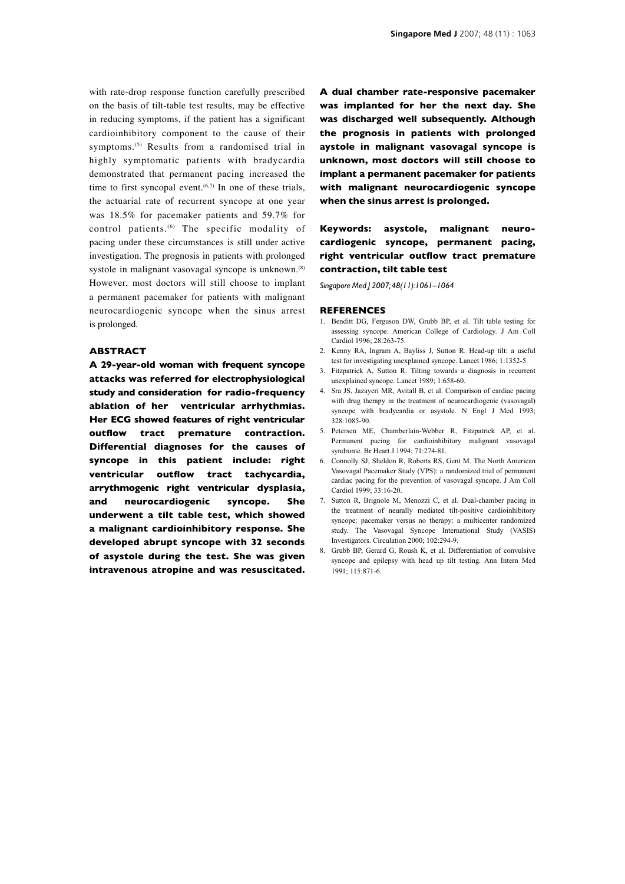with rate-drop response function carefully prescribed on the basis of tilt-table test results, may be effective in reducing symptoms, if the patient has a significant cardioinhibitory component to the cause of their symptoms.(5) Results from a randomised trial in highly symptomatic patients with bradycardia demonstrated that permanent pacing increased the time to first syncopal event. $(6,7)$  In one of these trials, the actuarial rate of recurrent syncope at one year was 18.5% for pacemaker patients and 59.7% for control patients.(6) The specific modality of pacing under these circumstances is still under active investigation. The prognosis in patients with prolonged systole in malignant vasovagal syncope is unknown.<sup>(8)</sup> However, most doctors will still choose to implant a permanent pacemaker for patients with malignant neurocardiogenic syncope when the sinus arrest is prolonged.

## **Abstract**

**A 29-year-old woman with frequent syncope attacks was referred for electrophysiological study and consideration for radio-frequency ablation of her ventricular arrhythmias. Her ECG showed features of right ventricular outflow tract premature contraction. Differential diagnoses for the causes of syncope in this patient include: right ventricular outflow tract tachycardia, arrythmogenic right ventricular dysplasia, and neurocardiogenic syncope. She underwent a tilt table test, which showed a malignant cardioinhibitory response. She developed abrupt syncope with 32 seconds of asystole during the test. She was given intravenous atropine and was resuscitated.**  **A dual chamber rate-responsive pacemaker was implanted for her the next day. She was discharged well subsequently. Although the prognosis in patients with prolonged aystole in malignant vasovagal syncope is unknown, most doctors will still choose to implant a permanent pacemaker for patients with malignant neurocardiogenic syncope when the sinus arrest is prolonged.**

## **Keywords: asystole, malignant neurocardiogenic syncope, permanent pacing, right ventricular outflow tract premature contraction, tilt table test**

*Singapore Med J 2007; 48(11):1061–1064*

#### **References**

- 1. Benditt DG, Ferguson DW, Grubb BP, et al. Tilt table testing for assessing syncope. American College of Cardiology. J Am Coll Cardiol 1996; 28:263-75.
- 2. Kenny RA, Ingram A, Bayliss J, Sutton R. Head-up tilt: a useful test for investigating unexplained syncope. Lancet 1986; 1:1352-5.
- 3. Fitzpatrick A, Sutton R. Tilting towards a diagnosis in recurrent unexplained syncope. Lancet 1989; 1:658-60.
- 4. Sra JS, Jazayeri MR, Avitall B, et al. Comparison of cardiac pacing with drug therapy in the treatment of neurocardiogenic (vasovagal) syncope with bradycardia or asystole. N Engl J Med 1993; 328:1085-90.
- 5. Petersen ME, Chamberlain-Webber R, Fitzpatrick AP, et al. Permanent pacing for cardioinhibitory malignant vasovagal syndrome. Br Heart J 1994; 71:274-81.
- 6. Connolly SJ, Sheldon R, Roberts RS, Gent M. The North American Vasovagal Pacemaker Study (VPS): a randomized trial of permanent cardiac pacing for the prevention of vasovagal syncope. J Am Coll Cardiol 1999; 33:16-20.
- 7. Sutton R, Brignole M, Menozzi C, et al. Dual-chamber pacing in the treatment of neurally mediated tilt-positive cardioinhibitory syncope: pacemaker versus no therapy: a multicenter randomized study. The Vasovagal Syncope International Study (VASIS) Investigators. Circulation 2000; 102:294-9.
- 8. Grubb BP, Gerard G, Roush K, et al. Differentiation of convulsive syncope and epilepsy with head up tilt testing. Ann Intern Med 1991; 115:871-6.